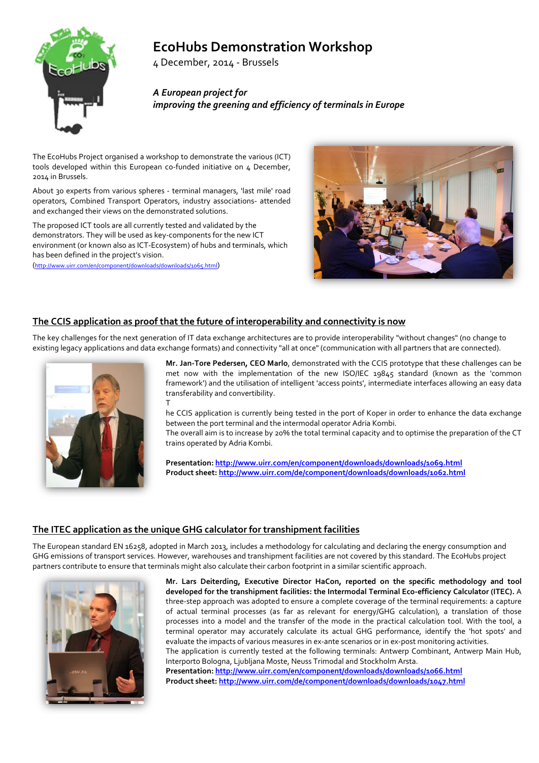# **EcoHubs Demonstration Workshop**

4 December, 2014 - Brussels

*A European project for improving the greening and efficiency of terminals in Europe*

The EcoHubs Project organised a workshop to demonstrate the various (ICT) tools developed within this European co-funded initiative on 4 December, 2014 in Brussels.

About 30 experts from various spheres - terminal managers, 'last mile' road operators, Combined Transport Operators, industry associations- attended and exchanged their views on the demonstrated solutions.

The proposed ICT tools are all currently tested and validated by the demonstrators. They will be used as key-components for the new ICT environment (or known also as ICT-Ecosystem) of hubs and terminals, which has been defined in the project's vision.

[\(http://www.uirr.com/en/component/downloads/downloads/1065.html\)](http://www.uirr.com/en/component/downloads/downloads/1065.html)



## **The CCIS application as proof that the future of interoperability and connectivity is now**

The key challenges for the next generation of IT data exchange architectures are to provide interoperability "without changes" (no change to existing legacy applications and data exchange formats) and connectivity "all at once" (communication with all partners that are connected).



**Mr. Jan-Tore Pedersen, CEO Marlo**, demonstrated with the CCIS prototype that these challenges can be met now with the implementation of the new ISO/IEC 19845 standard (known as the 'common framework') and the utilisation of intelligent 'access points', intermediate interfaces allowing an easy data transferability and convertibility. T

he CCIS application is currently being tested in the port of Koper in order to enhance the data exchange between the port terminal and the intermodal operator Adria Kombi.

The overall aim is to increase by 20% the total terminal capacity and to optimise the preparation of the CT trains operated by Adria Kombi.

**Presentation[: http://www.uirr.com/en/component/downloads/downloads/1069.html](http://www.uirr.com/en/component/downloads/downloads/1069.html) Product sheet:<http://www.uirr.com/de/component/downloads/downloads/1062.html>**

### **The ITEC application as the unique GHG calculator for transhipment facilities**

The European standard EN 16258, adopted in March 2013, includes a methodology for calculating and declaring the energy consumption and GHG emissions of transport services. However, warehouses and transhipment facilities are not covered by this standard. The EcoHubs project partners contribute to ensure that terminals might also calculate their carbon footprint in a similar scientific approach.



**Mr. Lars Deiterding, Executive Director HaCon, reported on the specific methodology and tool developed for the transhipment facilities: the Intermodal Terminal Eco-efficiency Calculator (ITEC).** A three-step approach was adopted to ensure a complete coverage of the terminal requirements: a capture of actual terminal processes (as far as relevant for energy/GHG calculation), a translation of those processes into a model and the transfer of the mode in the practical calculation tool. With the tool, a terminal operator may accurately calculate its actual GHG performance, identify the 'hot spots' and evaluate the impacts of various measures in ex-ante scenarios or in ex-post monitoring activities. The application is currently tested at the following terminals: Antwerp Combinant, Antwerp Main Hub, Interporto Bologna, Ljubljana Moste, Neuss Trimodal and Stockholm Arsta. **Presentation[: http://www.uirr.com/en/component/downloads/downloads/1066.html](http://www.uirr.com/en/component/downloads/downloads/1066.html) Product sheet:<http://www.uirr.com/de/component/downloads/downloads/1047.html>**